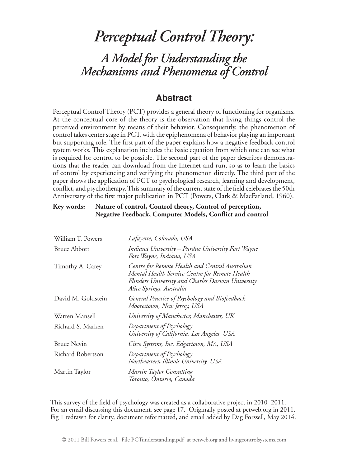# *Perceptual Control Theory: A Model for Understanding the Mechanisms and Phenomena of Control*

# **Abstract**

Perceptual Control Theory (PCT) provides a general theory of functioning for organisms. At the conceptual core of the theory is the observation that living things control the perceived environment by means of their behavior. Consequently, the phenomenon of control takes center stage in PCT, with the epiphenomena of behavior playing an important but supporting role. The first part of the paper explains how a negative feedback control system works. This explanation includes the basic equation from which one can see what is required for control to be possible. The second part of the paper describes demonstrations that the reader can download from the Internet and run, so as to learn the basics of control by experiencing and verifying the phenomenon directly. The third part of the paper shows the application of PCT to psychological research, learning and development, conflict, and psychotherapy. This summary of the current state of the field celebrates the 50th Anniversary of the first major publication in PCT (Powers, Clark & MacFarland, 1960).

#### **Key words: Nature of control, Control theory, Control of perception, Negative Feedback, Computer Models, Conflict and control**

| William T. Powers   | Lafayette, Colorado, USA                                                                                                                                                           |
|---------------------|------------------------------------------------------------------------------------------------------------------------------------------------------------------------------------|
| <b>Bruce Abbott</b> | Indiana University - Purdue University Fort Wayne<br>Fort Wayne, Indiana, USA                                                                                                      |
| Timothy A. Carey    | Centre for Remote Health and Central Australian<br>Mental Health Service Centre for Remote Health<br>Flinders University and Charles Darwin University<br>Alice Springs, Australia |
| David M. Goldstein  | General Practice of Psychology and Biofeedback<br>Moorestown, New Jersey, USA                                                                                                      |
| Warren Mansell      | University of Manchester, Manchester, UK                                                                                                                                           |
| Richard S. Marken   | Department of Psychology<br>University of California, Los Angeles, USA                                                                                                             |
| <b>Bruce Nevin</b>  | Cisco Systems, Inc. Edgartown, MA, USA                                                                                                                                             |
| Richard Robertson   | Department of Psychology<br>Northeastern Illinois University, USA                                                                                                                  |
| Martin Taylor       | Martin Taylor Consulting<br>Toronto, Ontario, Canada                                                                                                                               |

This survey of the field of psychology was created as a collaborative project in 2010–2011. For an email discussing this document, see page 17. Originally posted at pctweb.org in 2011. Fig 1 redrawn for clarity, document reformatted, and email added by Dag Forssell, May 2014.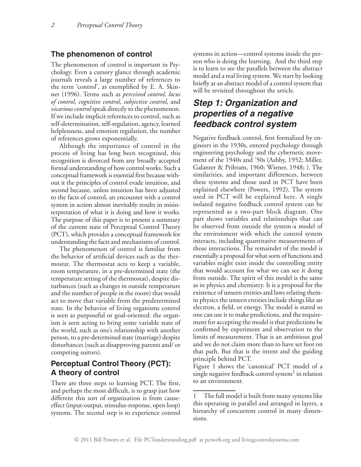#### **The phenomenon of control**

The phenomenon of control is important in Psychology. Even a cursory glance through academic journals reveals a large number of references to the term 'control', as exemplified by E. A. Skinner (1996). Terms such as *perceived control, locus of control, cognitive control, subjective control,* and *vicarious control* speak directly to the phenomenon. If we include implicit references to control, such as self-determination, self-regulation, agency, learned helplessness, and emotion regulation, the number of references grows exponentially.

Although the importance of control in the process of living has long been recognized, this recognition is divorced from any broadly accepted formal understanding of how control works. Such a conceptual framework is essential first because without it the principles of control evade intuition, and second because, unless intuition has been adjusted to the facts of control, an encounter with a control system in action almost inevitably results in misinterpretation of what it is doing and how it works. The purpose of this paper is to present a summary of the current state of Perceptual Control Theory (PCT), which provides a conceptual framework for understanding the facts and mechanisms of control.

The phenomenon of control is familiar from the behavior of artificial devices such as the thermostat. The thermostat acts to keep a variable, room temperature, in a pre-determined state (the temperature setting of the thermostat), despite disturbances (such as changes in outside temperature and the number of people in the room) that would act to move that variable from the predetermined state. In the behavior of living organisms control is seen as purposeful or goal-oriented: the organism is seen acting to bring some variable state of the world, such as one's relationship with another person, to a pre-determined state (marriage) despite disturbances (such as disapproving parents and/ or competing suitors).

## **Perceptual Control Theory (PCT): A theory of control**

There are three steps to learning PCT. The first, and perhaps the most difficult, is to grasp just how different this sort of organization is from causeeffect (input-output, stimulus-response, open loop) systems. The second step is to experience control systems in action—control systems inside the person who is doing the learning. And the third step is to learn to see the parallels between the abstract model and a real living system. We start by looking briefly at an abstract model of a control system that will be revisited throughout the article.

# *Step 1: Organization and properties of a negative feedback control system*

Negative feedback control, first formalized by engineers in the 1930s, entered psychology through engineering psychology and the cybernetic movement of the 1940s and '50s (Ashby, 1952; Miller, Galanter & Pribram, 1960; Wiener, 1948; ). The similarities, and important differences, between these systems and those used in PCT have been explained elsewhere (Powers, 1992). The system used in PCT will be explained here. A single isolated negative feedback control system can be represented as a two-part block diagram. One part shows variables and relationships that can be observed from outside the system-a model of the environment with which the control system interacts, including quantitative measurements of those interactions. The remainder of the model is essentially a proposal for what sorts of functions and variables might exist inside the controlling entity that would account for what we can see it doing from outside. The spirit of this model is the same as in physics and chemistry. It is a proposal for the existence of unseen entities and laws relating themin physics the unseen entities include things like an electron, a field, or energy. The model is stated so one can use it to make predictions, and the requirement for accepting the model is that predictions be confirmed by experiment and observation to the limits of measurement. That is an ambitious goal and we do not claim more than to have set foot on that path. But that is the intent and the guiding principle behind PCT.

Figure 1 shows the 'canonical' PCT model of a single negative feedback control system $\frac{1}{1}$  in relation to an environment.

<sup>1</sup> The full model is built from many systems like this operating in parallel and arranged in layers, a hierarchy of concurrent control in many dimensions.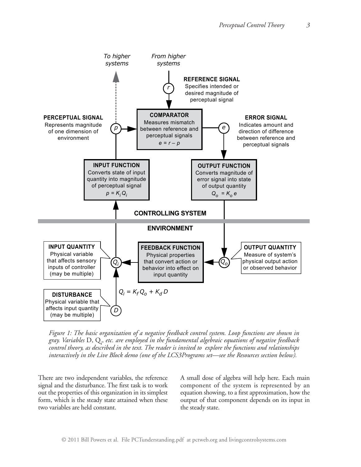

*Figure 1: The basic organization of a negative feedback control system. Loop functions are shown in gray. Variables* D, Qi , *etc. are employed in the fundamental algebraic equations of negative feedback control theory, as described in the text. The reader is invited to explore the functions and relationships interactively in the Live Block demo (one of the LCS3Programs set—see the Resources section below).*

There are two independent variables, the reference signal and the disturbance. The first task is to work out the properties of this organization in its simplest form, which is the steady state attained when these two variables are held constant.

A small dose of algebra will help here. Each main component of the system is represented by an equation showing, to a first approximation, how the output of that component depends on its input in the steady state.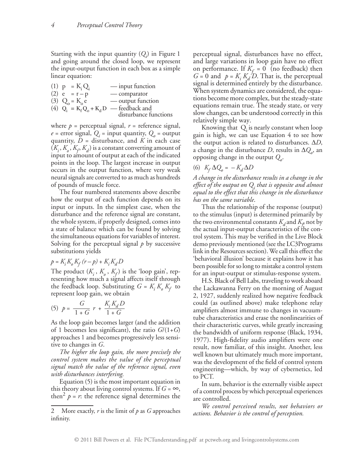Starting with the input quantity (*Qi* ) in Figure 1 and going around the closed loop, we represent the input-output function in each box as a simple linear equation:

(1)  $p = K_i Q_i$  — input function<br>
(2)  $e = r - p$  — comparator — comparator (3)  $Q_0 = K_0 e^-$  — output function (4)  $Q_i^{\sigma} = K_f^{\sigma} Q_o + K_d D$  — feedback and disturbance functions

where  $p =$  perceptual signal,  $r =$  reference signal,  $e =$  error signal,  $Q_i =$  input quantity,  $Q_o =$  output quantity,  $D =$  disturbance, and  $K$  in each case  $(K_i, K_{\rho}, K_{\rho}, K_{d})$  is a constant converting amount of input to amount of output at each of the indicated points in the loop. The largest increase in output occurs in the output function, where very weak neural signals are converted to as much as hundreds of pounds of muscle force.

The four numbered statements above describe how the output of each function depends on its input or inputs. In the simplest case, when the disturbance and the reference signal are constant, the whole system, if properly designed, comes into a state of balance which can be found by solving the simultaneous equations for variables of interest. Solving for the perceptual signal  $p$  by successive substitutions yields

$$
p = K_i K_o K_f (r - p) + K_i K_d D
$$

The product  $(K_i, K_a, K_f)$  is the 'loop gain', representing how much a signal affects itself through the feedback loop. Substituting  $G = K_i K_o K_f$  to represent loop gain, we obtain

(5) 
$$
p = \frac{G}{1+G} r + \frac{K_i K_d D}{1+G}
$$

As the loop gain becomes larger (and the addition of 1 becomes less significant), the ratio *G*/(1+*G*) approaches 1 and becomes progressively less sensitive to changes in *G*.

*The higher the loop gain, the more precisely the control system makes the value of the perceptual signal match the value of the reference signal, even with disturbances interfering.*

Equation (5) is the most important equation in this theory about living control systems. If  $G = \infty$ , then<sup>2</sup>  $p = r$ : the reference signal determines the perceptual signal, disturbances have no effect, and large variations in loop gain have no effect on performance. If  $K_f = 0$  (no feedback) then  $G = 0$  and  $p = K_i K_d/D$ . That is, the perceptual signal is determined entirely by the disturbance. When system dynamics are considered, the equations become more complex, but the steady-state equations remain true. The steady state, or very slow changes, can be understood correctly in this relatively simple way.

Knowing that  $Q_i$  is nearly constant when loop gain is high, we can use Equation 4 to see how the output action is related to disturbances. ∆*D*, a change in the disturbance *D*, results in  $\Delta Q_o$ , an opposing change in the output  $Q$ <sub>o</sub>.

# (6)  $K_f \Delta Q_o = -K_d \Delta D$

*A change in the disturbance results in a change in the effect of the output on Qi that is opposite and almost equal to the effect that this change in the disturbance has on the same variable*.

Thus the relationship of the response (output) to the stimulus (input) is determined primarily by the two environmental constants  $K_d$  and  $K_p$  not by the actual input-output characteristics of the control system. This may be verified in the Live Block demo previously mentioned (see the LC3Programs link in the Resources section). We call this effect the 'behavioral illusion' because it explains how it has been possible for so long to mistake a control system for an input-output or stimulus-response system.

H.S. Black of Bell Labs, traveling to work aboard the Lackawanna Ferry on the morning of August 2, 1927, suddenly realized how negative feedback could (as outlined above) make telephone relay amplifiers almost immune to changes in vacuumtube characteristics and erase the nonlinearities of their characteristic curves, while greatly increasing the bandwidth of uniform response (Black, 1934, 1977). High-fidelity audio amplifiers were one result, now familiar, of this insight. Another, less well known but ultimately much more important, was the development of the field of control system engineering—which, by way of cybernetics, led to PCT.

In sum, behavior is the externally visible aspect of a control process by which perceptual experiences are controlled.

*We control perceived results, not behaviors or actions. Behavior is the control of perception.* 

<sup>2</sup> More exactly, *r* is the limit of *p* as *G* approaches infinity.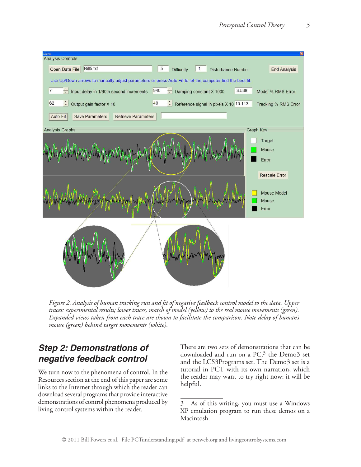

*Figure 2. Analysis of human tracking run and fit of negative feedback control model to the data. Upper traces: experimental results; lower traces, match of model (yellow) to the real mouse movements (green). Expanded views taken from each trace are shown to facilitate the comparison. Note delay of human's mouse (green) behind target movements (white).*

# *Step 2: Demonstrations of negative feedback control*

We turn now to the phenomena of control. In the Resources section at the end of this paper are some links to the Internet through which the reader can download several programs that provide interactive demonstrations of control phenomena produced by living control systems within the reader.

There are two sets of demonstrations that can be downloaded and run on a PC,<sup>3</sup> the Demo3 set and the LCS3Programs set. The Demo3 set is a tutorial in PCT with its own narration, which the reader may want to try right now: it will be helpful.

<sup>3</sup> As of this writing, you must use a Windows XP emulation program to run these demos on a Macintosh.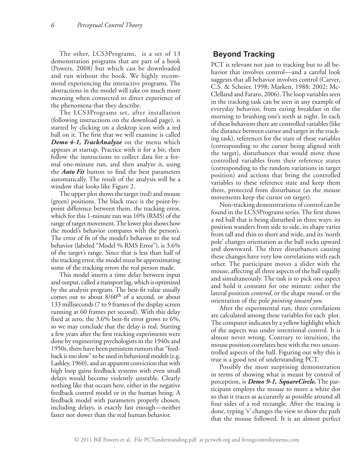The other, LCS3Programs, is a set of 13 demonstration programs that are part of a book (Powers, 2008) but which can be downloaded and run without the book. We highly recommend experiencing the interactive programs. The abstractions in the model will take on much more meaning when connected to direct experience of the phenomena that they describe.

The LCS3Programs set, after installation (following instructions on the download page), is started by clicking on a desktop icon with a red ball on it. The first that we will examine is called *Demo 4-1, TrackAnalyze* on the menu which appears at startup. Practice with it for a bit, then follow the instructions to collect data for a formal one-minute run, and then analyze it, using the *Auto Fit* button to find the best parameters automatically. The result of the analysis will be a window that looks like Figure 2.

The upper plot shows the target (red) and mouse (green) positions. The black trace is the point-bypoint difference between them, the tracking error, which for this 1-minute run was 10% (RMS) of the range of target movement. The lower plot shows how the model's behavior compares with the person's. The error of fit of the model's behavior to the real behavior (labeled "Model % RMS Error"), is 3.6% of the target's range. Since that is less than half of the tracking error, the model must be approximating some of the tracking errors the real person made.

This model inserts a time delay between input and output, called a transport lag, which is optimized by the analysis program. The best-fit value usually comes out to about  $8/60<sup>th</sup>$  of a second, or about 133 milliseconds (7 to 9 frames of the display screen running at 60 frames per second). With this delay fixed at zero, the 3.6% best-fit error grows to 6%, so we may conclude that the delay is real. Starting a few years after the first tracking experiments were done by engineering psychologists in the 1940s and 1950s, there have been persistent rumors that "feedback is too slow" to be used in behavioral models (e.g. Lashley, 1960), and an apparent conviction that with high loop gains feedback systems with even small delays would become violently unstable. Clearly nothing like that occurs here, either in the negative feedback control model or in the human being. A feedback model with parameters properly chosen, including delays, is exactly fast enough—neither faster nor slower than the real human behavior.

## **Beyond Tracking**

PCT is relevant not just to tracking but to all behavior that involves control—and a careful look suggests that all behavior involves control (Carver, C.S. & Scheier, 1998; Marken, 1988; 2002; Mc-Clelland and Fararo, 2006). The loop variables seen in the tracking task can be seen in any example of everyday behavior, from eating breakfast in the morning to brushing one's teeth at night. In each of these behaviors there are controlled variables (like the distance between cursor and target in the tracking task), references for the state of these variables (corresponding to the cursor being aligned with the target), disturbances that would move these controlled variables from their reference states (corresponding to the random variations in target position) and actions that bring the controlled variables to these reference state and keep them there, protected from disturbance (as the mouse movements keep the cursor on target).

Non-tracking demonstrations of control can be found in the LCS3Programs series. The first shows a red ball that is being disturbed in three ways: its position wanders from side to side, its shape varies from tall and thin to short and wide, and its 'north pole' changes orientation as the ball rocks upward and downward. The three disturbances causing these changes have very low correlations with each other. The participant moves a slider with the mouse, affecting all three aspects of the ball equally and simultaneously. The task is to pick one aspect and hold it constant for one minute: either the lateral position *centered*, or the shape *round*, or the orientation of the pole *pointing toward you*.

After the experimental run, three correlations are calculated among these variables for each plot. The computer indicates by a yellow highlight which of the aspects was under intentional control. It is almost never wrong. Contrary to intuition, the mouse position correlates best with the two uncontrolled aspects of the ball. Figuring out why this is true is a good test of understanding PCT.

Possibly the most surprising demonstration in terms of showing what is meant by control of perception, is *Demo 9-1, SquareCircle.* The participant employs the mouse to move a white dot so that it traces as accurately as possible around all four sides of a red rectangle. After the tracing is done, typing 'v' changes the view to show the path that the mouse followed. It is an almost perfect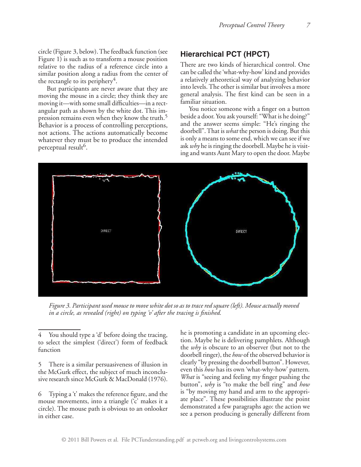circle (Figure 3, below). The feedback function (see Figure 1) is such as to transform a mouse position relative to the radius of a reference circle into a similar position along a radius from the center of the rectangle to its periphery<sup>4</sup>.

But participants are never aware that they are moving the mouse in a circle; they think they are moving it—with some small difficulties—in a rectangular path as shown by the white dot. This impression remains even when they know the truth.<sup>5</sup> Behavior is a process of controlling perceptions, not actions. The actions automatically become whatever they must be to produce the intended perceptual result<sup>6</sup>.

# **Hierarchical PCT (HPCT)**

There are two kinds of hierarchical control. One can be called the 'what-why-how' kind and provides a relatively atheoretical way of analyzing behavior into levels. The other is similar but involves a more general analysis. The first kind can be seen in a familiar situation.

You notice someone with a finger on a button beside a door. You ask yourself: "What is he doing?" and the answer seems simple: "He's ringing the doorbell". That is *what* the person is doing. But this is only a means to some end, which we can see if we ask *why* he is ringing the doorbell. Maybe he is visiting and wants Aunt Mary to open the door. Maybe



*Figure 3. Participant used mouse to move white dot so as to trace red square (left). Mouse actually moved in a circle, as revealed (right) on typing 'v' after the tracing is finished.*

5 There is a similar persuasiveness of illusion in the McGurk effect, the subject of much inconclusive research since McGurk & MacDonald (1976).

6 Typing a 't' makes the reference figure, and the mouse movements, into a triangle ('c' makes it a circle). The mouse path is obvious to an onlooker in either case.

he is promoting a candidate in an upcoming election. Maybe he is delivering pamphlets. Although the *why* is obscure to an observer (but not to the doorbell ringer), the *how* of the observed behavior is clearly "by pressing the doorbell button". However, even this *how* has its own 'what-why-how' pattern. *What* is "seeing and feeling my finger pushing the button", *why* is "to make the bell ring" and *how* is "by moving my hand and arm to the appropriate place". These possibilities illustrate the point demonstrated a few paragraphs ago: the action we see a person producing is generally different from

You should type a 'd' before doing the tracing, to select the simplest ('direct') form of feedback function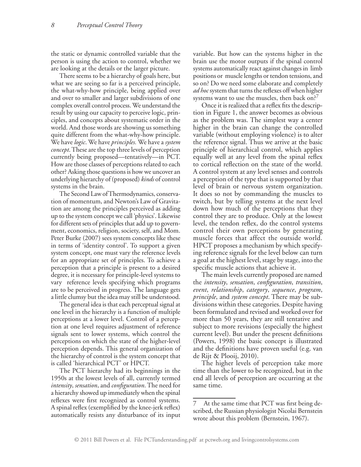the static or dynamic controlled variable that the person is using the action to control, whether we are looking at the details or the larger picture.

There seems to be a hierarchy of goals here, but what we are seeing so far is a perceived principle, the what-why-how principle, being applied over and over to smaller and larger subdivisions of one complex overall control process. We understand the result by using our capacity to perceive logic, principles, and concepts about systematic order in the world. And those words are showing us something quite different from the what-why-how principle. We have *logic*. We have *principles.* We have a *system concept*. These are the top three levels of perception currently being proposed—tentatively—in PCT. How are those classes of perceptions related to each other? Asking those questions is how we uncover an underlying hierarchy of (proposed) *kinds* of control systems in the brain.

The Second Law of Thermodynamics, conservation of momentum, and Newton's Law of Gravitation are among the principles perceived as adding up to the system concept we call 'physics'. Likewise for different sets of principles that add up to government, economics, religion, society, self, and Mom. Peter Burke (2007) sees system concepts like these in terms of 'identity control'. To support a given system concept, one must vary the reference levels for an appropriate set of principles. To achieve a perception that a principle is present to a desired degree, it is necessary for principle-level systems to vary reference levels specifying which programs are to be perceived in progress. The language gets a little clumsy but the idea may still be understood.

The general idea is that each perceptual signal at one level in the hierarchy is a function of multiple perceptions at a lower level. Control of a perception at one level requires adjustment of reference signals sent to lower systems, which control the perceptions on which the state of the higher-level perception depends. This general organization of the hierarchy of control is the system concept that is called 'hierarchical PCT' or HPCT.

The PCT hierarchy had its beginnings in the 1950s at the lowest levels of all, currently termed *intensity*, *sensation*, and *configuration*. The need for a hierarchy showed up immediately when the spinal reflexes were first recognized as control systems. A spinal reflex (exemplified by the knee-jerk reflex) automatically resists any disturbance of its input

variable. But how can the systems higher in the brain use the motor outputs if the spinal control systems automatically react against changes in limb positions or muscle lengths or tendon tensions, and so on? Do we need some elaborate and completely *ad hoc* system that turns the reflexes off when higher systems want to use the muscles, then back on?

Once it is realized that a reflex fits the description in Figure 1, the answer becomes as obvious as the problem was. The simplest way a center higher in the brain can change the controlled variable (without employing violence) is to alter the reference signal. Thus we arrive at the basic principle of hierarchical control, which applies equally well at any level from the spinal reflex to cortical reflection on the state of the world. A control system at any level senses and controls a perception of the type that is supported by that level of brain or nervous system organization. It does so not by commanding the muscles to twitch, but by telling systems at the next level down how much of the perceptions that they control they are to produce. Only at the lowest level, the tendon reflex, do the control systems control their own perceptions by generating muscle forces that affect the outside world. HPCT proposes a mechanism by which specifying reference signals for the level below can turn a goal at the highest level, stage by stage, into the specific muscle actions that achieve it.

The main levels currently proposed are named the *intensity*, *sensation*, *configuration*, *transition*, *event*, *relationship*, *category*, *sequence*, *program*, *principle*, and *system concept*. There may be subdivisions within these categories. Despite having been formulated and revised and worked over for more than 50 years, they are still tentative and subject to more revisions (especially the highest current level). But under the present definitions (Powers, 1998) the basic concept is illustrated and the definitions have proven useful (e.g. van de Rijt & Plooij, 2010).

The higher levels of perception take more time than the lower to be recognized, but in the end all levels of perception are occurring at the same time.

<sup>7</sup> At the same time that PCT was first being described, the Russian physiologist Nicolai Bernstein wrote about this problem (Bernstein, 1967).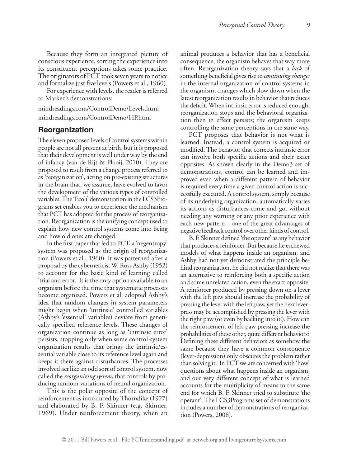Because they form an integrated picture of conscious experience, sorting the experience into its constituent perceptions takes some practice. The originators of PCT took seven years to notice and formalize just five levels (Powers et al., 1960).

For experience with levels, the reader is referred to Marken's demonstrations:

mindreadings.com/ControlDemo/Levels.html mindreadings.com/ControlDemo/HP.html

#### **Reorganization**

The eleven proposed levels of control systems within people are not all present at birth, but it is proposed that their development is well under way by the end of infancy (van de Rijt & Plooij, 2010). They are proposed to result from a change process referred to as 'reorganization', acting on pre-existing structures in the brain that, we assume, have evolved to favor the development of the various types of controlled variables.The 'Ecoli' demonstration in the LCS3Programs set enables you to experience the mechanism that PCT has adopted for the process of reorganization. Reorganization is the unifying concept used to explain how new control systems come into being and how old ones are changed.

In the first paper that led to PCT, a 'negentropy' system was proposed as the origin of reorganization (Powers et al., 1960). It was patterned after a proposal by the cyberneticist W. Ross Ashby (1952) to account for the basic kind of learning called 'trial and error.' It is the only option available to an organism before the time that systematic processes become organized. Powers et al. adopted Ashby's idea that random changes in system parameters might begin when 'intrinsic' controlled variables (Ashby's 'essential' variables) deviate from genetically specified reference levels. These changes of organization continue as long as 'intrinsic error' persists, stopping only when some control-system organization results that brings the intrinsic/essential variable close to its reference level again and keeps it there against disturbances. The processes involved act like an odd sort of control system, now called the *reorganizing system*, that controls by producing random variations of neural organization.

This is the polar opposite of the concept of reinforcement as introduced by Thorndike (1927) and elaborated by B. F. Skinner (e.g. Skinner, 1969). Under reinforcement theory, when an

animal produces a behavior that has a beneficial consequence, the organism behaves that way more often. Reorganization theory says that a *lack* of something beneficial gives rise to *continuing changes* in the internal organization of control systems in the organism, changes which slow down when the latest reorganization results in behavior that reduces the deficit. When intrinsic error is reduced enough, reorganization stops and the behavioral organization then in effect persists; the organism keeps controlling the same perceptions in the same way.

PCT proposes that behavior is not what is learned. Instead, a control system is acquired or modified. The behavior that corrects intrinsic error can involve both specific actions and their exact opposites. As shown clearly in the Demo3 set of demonstrations, control can be learned and improved even when a different pattern of behavior is required every time a given control action is successfully executed. A control system, simply because of its underlying organization, automatically varies its actions as disturbances come and go, without needing any warning or any prior experience with each new pattern—one of the great advantages of negative feedback control over other kinds of control.

B. F. Skinner defined 'the operant' as any behavior that produces a reinforcer. But because he eschewed models of what happens inside an organism, and Ashby had not yet demonstrated the principle behind reorganization, he did not realize that there was an alternative to reinforcing both a specific action and some unrelated action, even the exact opposite. A reinforcer produced by pressing down on a lever with the left paw should increase the probability of pressing the lever with the left paw, yet the next leverpress may be accomplished by pressing the lever with the right paw (or even by backing into it!). How can the reinforcement of left-paw pressing increase the probabilities of these other, quite different behaviors? Defining these different behaviors as somehow the same because they have a common consequence (lever-depression) only obscures the problem rather than solving it. In PCT we are concerned with 'how' questions about what happens inside an organism, and our very different concept of what is learned accounts for the multiplicity of means to the same end for which B. F. Skinner tried to substitute 'the operant'. The LCS3Programs set of demonstrations includes a number of demonstrations of reorganization (Powers, 2008).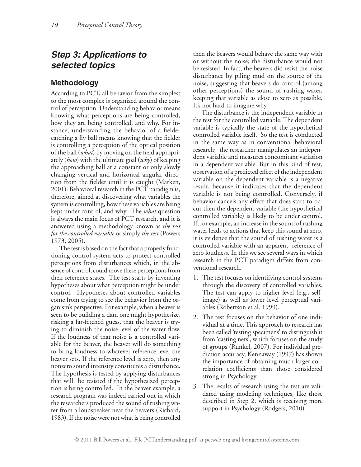# *Step 3: Applications to selected topics*

## **Methodology**

According to PCT, all behavior from the simplest to the most complex is organized around the control of perception. Understanding behavior means knowing what perceptions are being controlled, how they are being controlled, and why. For instance, understanding the behavior of a fielder catching a fly ball means knowing that the fielder is controlling a perception of the optical position of the ball (*what*) by moving on the field appropriately (*how*) with the ultimate goal (*why*) of keeping the approaching ball at a constant or only slowly changing vertical and horizontal angular direction from the fielder until it is caught (Marken, 2001). Behavioral research in the PCT paradigm is, therefore, aimed at discovering what variables the system is controlling, how these variables are being kept under control, and why. The *what* question is always the main focus of PCT research, and it is answered using a methodology known as *the test for the controlled variable* or simply *the test* (Powers 1973, 2005).

The test is based on the fact that a properly functioning control system acts to protect controlled perceptions from disturbances which, in the absence of control, could move these perceptions from their reference states. The test starts by inventing hypotheses about what perception might be under control. Hypotheses about controlled variables come from trying to see the behavior from the organism's perspective. For example, when a beaver is seen to be building a dam one might hypothesize, risking a far-fetched guess, that the beaver is trying to diminish the noise level of the water flow. If the loudness of that noise is a controlled variable for the beaver, the beaver will do something to bring loudness to whatever reference level the beaver sets. If the reference level is zero, then any nonzero sound intensity constitutes a disturbance. The hypothesis is tested by applying disturbances that will be resisted if the hypothesized perception is being controlled. In the beaver example, a research program was indeed carried out in which the researchers produced the sound of rushing water from a loudspeaker near the beavers (Richard, 1983). If the noise were not what is being controlled

then the beavers would behave the same way with or without the noise; the disturbance would not be resisted. In fact, the beavers did resist the noise disturbance by piling mud on the source of the noise, suggesting that beavers do control (among other perceptions) the sound of rushing water, keeping that variable as close to zero as possible. It's not hard to imagine why.

The disturbance is the independent variable in the test for the controlled variable. The dependent variable is typically the state of the hypothetical controlled variable itself. So the test is conducted in the same way as in conventional behavioral research; the researcher manipulates an independent variable and measures concomitant variation in a dependent variable. But in this kind of test, observation of a predicted effect of the independent variable on the dependent variable is a negative result, because it indicates that the dependent variable is not being controlled. Conversely, if behavior cancels any effect that does start to occur then the dependent variable (the hypothetical controlled variable) is likely to be under control. If, for example, an increase in the sound of rushing water leads to actions that keep this sound at zero, it is evidence that the sound of rushing water is a controlled variable with an apparent reference of zero loudness. In this we see several ways in which research in the PCT paradigm differs from conventional research.

- 1. The test focuses on identifying control systems through the discovery of controlled variables. The test can apply to higher level (e.g., selfimage) as well as lower level perceptual variables (Robertson et al. 1999).
- 2. The test focuses on the behavior of one individual at a time. This approach to research has been called 'testing specimens' to distinguish it from 'casting nets', which focuses on the study of groups (Runkel, 2007). For individual prediction accuracy, Kennaway (1997) has shown the importance of obtaining much larger correlation coefficients than those considered strong in Psychology.
- 3. The results of research using the test are validated using modeling techniques, like those described in Step 2, which is receiving more support in Psychology (Rodgers, 2010).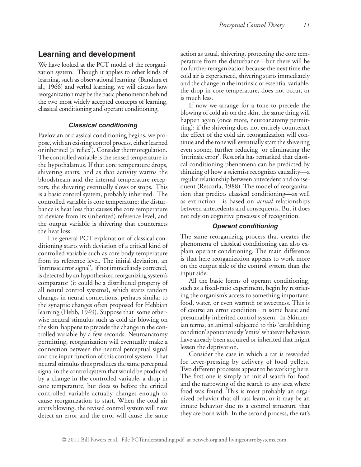#### **Learning and development**

We have looked at the PCT model of the reorganization system. Though it applies to other kinds of learning, such as observational learning (Bandura et al., 1966) and verbal learning, we will discuss how reorganization may be the basic phenomenon behind the two most widely accepted concepts of learning, classical conditioning and operant conditioning,

#### *Classical conditioning*

Pavlovian or classical conditioning begins, we propose, with an existing control process, either learned or inherited (a 'reflex'). Consider thermoregulation. The controlled variable is the sensed temperature in the hypothalamus. If that core temperature drops, shivering starts, and as that activity warms the bloodstream and the internal temperature receptors, the shivering eventually slows or stops. This is a basic control system, probably inherited. The controlled variable is core temperature; the disturbance is heat loss that causes the core temperature to deviate from its (inherited) reference level, and the output variable is shivering that counteracts the heat loss.

The general PCT explanation of classical conditioning starts with deviation of a critical kind of controlled variable such as core body temperature from its reference level. The initial deviation, an 'intrinsic error signal', if not immediately corrected, is detected by an hypothesized reorganizing system's comparator (it could be a distributed property of all neural control systems), which starts random changes in neural connections, perhaps similar to the synaptic changes often proposed for Hebbian learning (Hebb, 1949). Suppose that some otherwise neutral stimulus such as cold air blowing on the skin happens to precede the change in the controlled variable by a few seconds. Neuroanatomy permitting, reorganization will eventually make a connection between the neutral perceptual signal and the input function of this control system. That neutral stimulus thus produces the same perceptual signal in the control system that would be produced by a change in the controlled variable, a drop in core temperature, but does so before the critical controlled variable actually changes enough to cause reorganization to start. When the cold air starts blowing, the revised control system will now detect an error and the error will cause the same

action as usual, shivering, protecting the core temperature from the disturbance—but there will be no further reorganization because the next time the cold air is experienced, shivering starts immediately and the change in the intrinsic or essential variable, the drop in core temperature, does not occur, or is much less.

If now we arrange for a tone to precede the blowing of cold air on the skin, the same thing will happen again (once more, neuroanatomy permitting): if the shivering does not entirely counteract the effect of the cold air, reorganization will continue and the tone will eventually start the shivering even sooner, further reducing or eliminating the 'intrinsic error'. Rescorla has remarked that classical conditioning phenomena can be predicted by thinking of how a scientist recognizes causality—a regular relationship between antecedent and consequent (Rescorla, 1988). The model of reorganization that predicts classical conditioning—as well as extinction—is based on *actual* relationships between antecedents and consequents. But it does not rely on cognitive processes of recognition.

#### *Operant conditioning*

The same reorganizing process that creates the phenomena of classical conditioning can also explain operant conditioning. The main difference is that here reorganization appears to work more on the output side of the control system than the input side.

All the basic forms of operant conditioning, such as a fixed-ratio experiment, begin by restricting the organism's access to something important: food, water, or even warmth or sweetness. This is of course an error condition in some basic and presumably inherited control system. In Skinnerian terms, an animal subjected to this 'establishing condition' spontaneously 'emits' whatever behaviors have already been acquired or inherited that might lessen the deprivation.

Consider the case in which a rat is rewarded for lever-pressing by delivery of food pellets. Two different processes appear to be working here. The first one is simply an initial search for food and the narrowing of the search to any area where food was found. This is most probably an organized behavior that all rats learn, or it may be an innate behavior due to a control structure that they are born with. In the second process, the rat's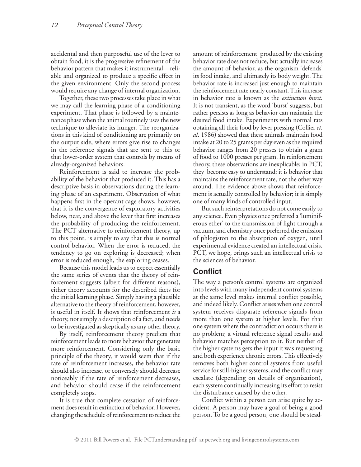accidental and then purposeful use of the lever to obtain food, it is the progressive refinement of the behavior pattern that makes it instrumental—reliable and organized to produce a specific effect in the given environment. Only the second process would require any change of internal organization.

Together, these two processes take place in what we may call the learning phase of a conditioning experiment. That phase is followed by a maintenance phase when the animal routinely uses the new technique to alleviate its hunger. The reorganizations in this kind of conditioning are primarily on the output side, where errors give rise to changes in the reference signals that are sent to this or that lower-order system that controls by means of already-organized behaviors.

Reinforcement is said to increase the probability of the behavior that produced it. This has a descriptive basis in observations during the learning phase of an experiment. Observation of what happens first in the operant cage shows, however, that it is the convergence of exploratory activities below, near, and above the lever that first increases the probability of producing the reinforcement. The PCT alternative to reinforcement theory, up to this point, is simply to say that this is normal control behavior. When the error is reduced, the tendency to go on exploring is decreased; when error is reduced enough, the exploring ceases.

Because this model leads us to expect essentially the same series of events that the theory of reinforcement suggests (albeit for different reasons), either theory accounts for the described facts for the initial learning phase. Simply having a plausible alternative to the theory of reinforcement, however, is useful in itself. It shows that reinforcement *is* a theory, not simply a description of a fact, and needs to be investigated as skeptically as any other theory.

By itself, reinforcement theory predicts that reinforcement leads to more behavior that generates more reinforcement. Considering only the basic principle of the theory, it would seem that if the rate of reinforcement increases, the behavior rate should also increase, or conversely should decrease noticeably if the rate of reinforcement decreases, and behavior should cease if the reinforcement completely stops.

It is true that complete cessation of reinforcement does result in extinction of behavior. However, changing the schedule of reinforcement to reduce the amount of reinforcement produced by the existing behavior rate does not reduce, but actually increases the amount of behavior, as the organism 'defends' its food intake, and ultimately its body weight. The behavior rate is increased just enough to maintain the reinforcement rate nearly constant. This increase in behavior rate is known as the *extinction burst*. It is not transient, as the word 'burst' suggests, but rather persists as long as behavior can maintain the desired food intake. Experiments with normal rats obtaining all their food by lever pressing (Collier *et. al*. 1986) showed that these animals maintain food intake at 20 to 25 grams per day even as the required behavior ranges from 20 presses to obtain a gram of food to 1000 presses per gram. In reinforcement theory, these observations are inexplicable; in PCT, they become easy to understand: it is behavior that maintains the reinforcement rate, not the other way around. The evidence above shows that reinforcement is actually controlled by behavior; it is simply one of many kinds of controlled input.

But such reinterpretations do not come easily to any science. Even physics once preferred a 'luminiferous ether' to the transmission of light through a vacuum, and chemistry once preferred the emission of phlogiston to the absorption of oxygen, until experimental evidence created an intellectual crisis. PCT, we hope, brings such an intellectual crisis to the sciences of behavior.

## **Conflict**

The way a person's control systems are organized into levels with many independent control systems at the same level makes internal conflict possible, and indeed likely. Conflict arises when one control system receives disparate reference signals from more than one system at higher levels. For that one system where the contradiction occurs there is no problem; a virtual reference signal results and behavior matches perception to it. But neither of the higher systems gets the input it was requesting and both experience chronic errors. This effectively removes both higher control systems from useful service for still-higher systems, and the conflict may escalate (depending on details of organization), each system continually increasing its effort to resist the disturbance caused by the other.

Conflict within a person can arise quite by accident. A person may have a goal of being a good person. To be a good person, one should be stead-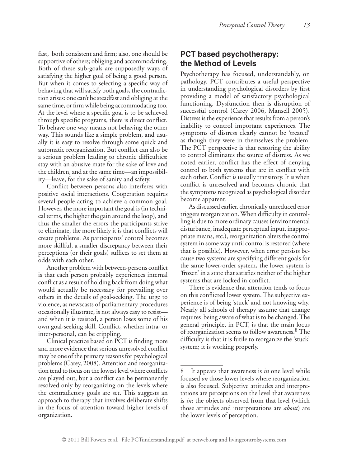fast, both consistent and firm; also, one should be supportive of others; obliging and accommodating. Both of these sub-goals are supposedly ways of satisfying the higher goal of being a good person. But when it comes to selecting a specific way of behaving that will satisfy both goals, the contradiction arises: one can't be steadfast and obliging at the same time, or firm while being accommodating too. At the level where a specific goal is to be achieved through specific programs, there is direct conflict. To behave one way means not behaving the other way. This sounds like a simple problem, and usually it is easy to resolve through some quick and automatic reorganization. But conflict can also be a serious problem leading to chronic difficulties: stay with an abusive mate for the sake of love and the children, and at the same time—an impossibility—leave, for the sake of sanity and safety.

Conflict between persons also interferes with positive social interactions. Cooperation requires several people acting to achieve a common goal. However, the more important the goal is (in technical terms, the higher the gain around the loop), and thus the smaller the errors the participants strive to eliminate, the more likely it is that conflicts will create problems. As participants' control becomes more skillful, a smaller discrepancy between their perceptions (or their goals) suffices to set them at odds with each other.

Another problem with between-persons conflict is that each person probably experiences internal conflict as a result of holding back from doing what would actually be necessary for prevailing over others in the details of goal-seeking. The urge to violence, as newscasts of parliamentary procedures occasionally illustrate, is not always easy to resist and when it is resisted, a person loses some of his own goal-seeking skill. Conflict, whether intra- or inter-personal, can be crippling.

Clinical practice based on PCT is finding more and more evidence that serious unresolved conflict may be one of the primary reasons for psychological problems (Carey, 2008). Attention and reorganization tend to focus on the lowest level where conflicts are played out, but a conflict can be permanently resolved only by reorganizing on the levels where the contradictory goals are set. This suggests an approach to therapy that involves deliberate shifts in the focus of attention toward higher levels of organization.

## **PCT based psychotherapy: the Method of Levels**

Psychotherapy has focused, understandably, on pathology. PCT contributes a useful perspective in understanding psychological disorders by first providing a model of satisfactory psychological functioning. Dysfunction then is disruption of successful control (Carey 2006, Mansell 2005). Distress is the experience that results from a person's inability to control important experiences. The symptoms of distress clearly cannot be 'treated' as though they were in themselves the problem. The PCT perspective is that restoring the ability to control eliminates the source of distress. As we noted earlier, conflict has the effect of denying control to both systems that are in conflict with each other. Conflict is usually transitory. It is when conflict is unresolved and becomes chronic that the symptoms recognized as psychological disorder become apparent.

As discussed earlier, chronically unreduced error triggers reorganization. When difficulty in controlling is due to more ordinary causes (environmental disturbance, inadequate perceptual input, inappropriate means, etc.), reorganization alters the control system in some way until control is restored (where that is possible). However, when error persists because two systems are specifying different goals for the same lower-order system, the lower system is 'frozen' in a state that satisfies neither of the higher systems that are locked in conflict.

There is evidence that attention tends to focus on this conflicted lower system. The subjective experience is of being 'stuck' and not knowing why. Nearly all schools of therapy assume that change requires being aware of what is to be changed. The general principle, in PCT, is that the main locus of reorganization seems to follow awareness.<sup>8</sup> The difficulty is that it is futile to reorganize the 'stuck' system; it is working properly.

<sup>8</sup> It appears that awareness is *in* one level while focused *on* those lower levels where reorganization is also focused. Subjective attitudes and interpretations are perceptions on the level that awareness is *in*; the objects observed from that level (which those attitudes and interpretations are *about*) are the lower levels of perception.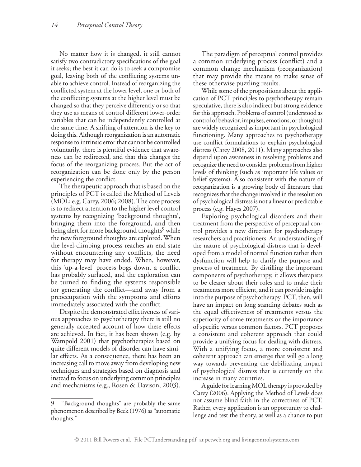No matter how it is changed, it still cannot satisfy two contradictory specifications of the goal it seeks; the best it can do is to seek a compromise goal, leaving both of the conflicting systems unable to achieve control. Instead of reorganizing the conflicted system at the lower level, one or both of the conflicting systems at the higher level must be changed so that they perceive differently or so that they use as means of control different lower-order variables that can be independently controlled at the same time. A shifting of attention is the key to doing this. Although reorganization is an automatic response to intrinsic error that cannot be controlled voluntarily, there is plentiful evidence that awareness can be redirected, and that this changes the focus of the reorganizing process. But the act of reorganization can be done only by the person experiencing the conflict.

The therapeutic approach that is based on the principles of PCT is called the Method of Levels (MOL; e.g. Carey, 2006; 2008). The core process is to redirect attention to the higher level control systems by recognizing 'background thoughts', bringing them into the foreground, and then being alert for more background thoughts<sup>9</sup> while the new foreground thoughts are explored. When the level-climbing process reaches an end state without encountering any conflicts, the need for therapy may have ended. When, however, this 'up-a-level' process bogs down, a conflict has probably surfaced, and the exploration can be turned to finding the systems responsible for generating the conflict—and away from a preoccupation with the symptoms and efforts immediately associated with the conflict.

Despite the demonstrated effectiveness of various approaches to psychotherapy there is still no generally accepted account of how these effects are achieved. In fact, it has been shown (e.g. by Wampold 2001) that psychotherapies based on quite different models of disorder can have similar effects. As a consequence, there has been an increasing call to move away from developing new techniques and strategies based on diagnosis and instead to focus on underlying common principles and mechanisms (e.g., Rosen & Davison, 2003).

9 "Background thoughts" are probably the same phenomenon described by Beck (1976) as "automatic thoughts."

The paradigm of perceptual control provides a common underlying process (conflict) and a common change mechanism (reorganization) that may provide the means to make sense of these otherwise puzzling results.

While some of the propositions about the application of PCT principles to psychotherapy remain speculative, there is also indirect but strong evidence for this approach. Problems of control (understood as control of behavior, impulses, emotions, or thoughts) are widely recognized as important in psychological functioning. Many approaches to psychotherapy use conflict formulations to explain psychological distress (Carey 2008, 2011). Many approaches also depend upon awareness in resolving problems and recognize the need to consider problems from higher levels of thinking (such as important life values or belief systems). Also consistent with the nature of reorganization is a growing body of literature that recognizes that the change involved in the resolution of psychological distress is not a linear or predictable process (e.g. Hayes 2007).

Exploring psychological disorders and their treatment from the perspective of perceptual control provides a new direction for psychotherapy researchers and practitioners. An understanding of the nature of psychological distress that is developed from a model of normal function rather than dysfunction will help to clarify the purpose and process of treatment. By distilling the important components of psychotherapy, it allows therapists to be clearer about their roles and to make their treatments more efficient, and it can provide insight into the purpose of psychotherapy. PCT, then, will have an impact on long standing debates such as the equal effectiveness of treatments versus the superiority of some treatments or the importance of specific versus common factors. PCT proposes a consistent and coherent approach that could provide a unifying focus for dealing with distress. With a unifying focus, a more consistent and coherent approach can emerge that will go a long way towards preventing the debilitating impact of psychological distress that is currently on the increase in many countries.

A guide for learning MOL therapy is provided by Carey (2006). Applying the Method of Levels does not assume blind faith in the correctness of PCT. Rather, every application is an opportunity to challenge and test the theory, as well as a chance to put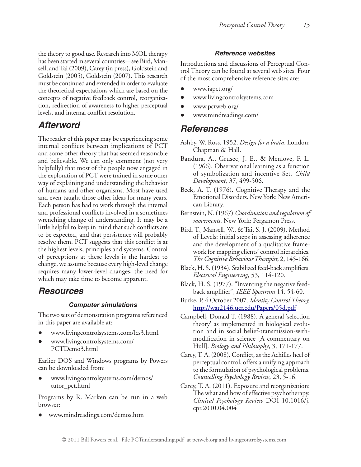the theory to good use. Research into MOL therapy has been started in several countries—see Bird, Mansell, and Tai (2009), Carey (in press), Goldstein and Goldstein (2005), Goldstein (2007). This research must be continued and extended in order to evaluate the theoretical expectations which are based on the concepts of negative feedback control, reorganization, redirection of awareness to higher perceptual levels, and internal conflict resolution.

# *Afterword*

The reader of this paper may be experiencing some internal conflicts between implications of PCT and some other theory that has seemed reasonable and believable. We can only comment (not very helpfully) that most of the people now engaged in the exploration of PCT were trained in some other way of explaining and understanding the behavior of humans and other organisms. Most have used and even taught those other ideas for many years. Each person has had to work through the internal and professional conflicts involved in a sometimes wrenching change of understanding. It may be a little helpful to keep in mind that such conflicts are to be expected, and that persistence will probably resolve them. PCT suggests that this conflict is at the highest levels, principles and systems. Control of perceptions at these levels is the hardest to change, we assume because every high-level change requires many lower-level changes, the need for which may take time to become apparent.

# *Resources*

#### *Computer simulations*

The two sets of demonstration programs referenced in this paper are available at:

- www.livingcontrolsystems.com/lcs3.html.
- www.livingcontrolsystems.com/ PCTDemo3.html

Earlier DOS and Windows programs by Powers can be downloaded from:

● www.livingcontrolsystems.com/demos/ tutor\_pct.html

Programs by R. Marken can be run in a web browser:

● www.mindreadings.com/demos.htm

#### *Reference websites*

Introductions and discussions of Perceptual Control Theory can be found at several web sites. Four of the most comprehensive reference sites are:

- www.iapct.org/
- www.livingcontrolsystems.com
- www.pctweb.org/
- www.mindreadings.com/

# *References*

- Ashby, W. Ross. 1952. *Design for a brain*. London: Chapman & Hall.
- Bandura, A., Grusec, J. E., & Menlove, F. L. (1966). Observational learning as a function of symbolization and incentive Set. *Child Development*, 37, 499-506.
- Beck, A. T. (1976). Cognitive Therapy and the Emotional Disorders. New York: New American Library.
- Bernstein, N. (1967).*Coordination and regulation of movements*. New York: Pergamon Press.
- Bird, T., Mansell, W., & Tai, S. J. (2009). Method of Levels: initial steps in assessing adherence and the development of a qualitative framework for mapping clients' control hierarchies. *The Cognitive Behaviour Therapist*, 2, 145-166.
- Black, H. S. (1934). Stabilized feed-back amplifiers. *Electrical Engineering*, 53, 114-120.
- Black, H. S. (1977). "Inventing the negative feedback amplifier", *IEEE Spectrum* 14, 54-60.
- Burke, P. 4 October 2007. *Identity Control Theory.* http://wat2146.ucr.edu/Papers/05d.pdf
- Campbell, Donald T. (1988). A general 'selection theory' as implemented in biological evolution and in social belief-transmission-withmodification in science [A commentary on Hull]. *Biology and Philosophy*, 3, 171-177.
- Carey, T. A. (2008). Conflict, as the Achilles heel of perceptual control, offers a unifying approach to the formulation of psychological problems. *Counselling Psychology Review*, 23, 5-16.
- Carey, T. A. (2011). Exposure and reorganization: The what and how of effective psychotherapy. *Clinical Psychology Review* DOI 10.1016/j. cpr.2010.04.004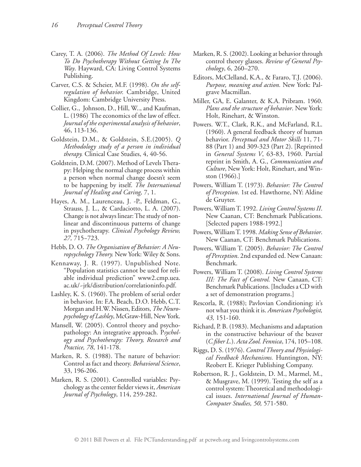- Carey, T. A. (2006). *The Method Of Levels: How To Do Psychotherapy Without Getting In The Way*. Hayward, CA: Living Control Systems Publishing.
- Carver, C.S. & Scheier, M.F. (1998). *On the selfregulation of behavior.* Cambridge, United Kingdom: Cambridge University Press.
- Collier, G., Johnson, D., Hill, W.., and Kaufman, L. (1986) The economics of the law of effect. *Journal of the experimental analysis of behavior*, 46, 113-136.
- Goldstein, D.M., & Goldstein, S.E.(2005). *Q Methodology study of a person in individual therapy.* Clinical Case Studies, 4, 40-56.
- Goldstein, D.M. (2007). Method of Levels Therapy: Helping the normal change process within a person when normal change doesn't seem to be happening by itself. *The International Journal of Healing and Caring,* 7, 1.
- Hayes, A. M., Laurenceau, J. -P., Feldman, G., Strauss, J. L., & Cardaciotto, L. A. (2007). Change is not always linear: The study of nonlinear and discontinuous patterns of change in psychotherapy. *Clinical Psychology Review, 27,* 715−723.
- Hebb, D. O. *The Organisation of Behavior: A Neuropsychology Theory.* New York: Wiley & Sons.
- Kennaway, J. R. (1997). Unpublished Note. "Population statistics cannot be used for reliable individual prediction" www2.cmp.uea. ac.uk/~jrk/distribution/correlationinfo.pdf.
- Lashley, K. S. (1960). The problem of serial order in behavior. In: F.A. Beach, D.O. Hebb, C.T. Morgan and H.W. Nissen, Editors, *The Neuropsychology of Lashley*, McGraw-Hill, New York.
- Mansell, W. (2005). Control theory and psychopathology: An integrative approach. P*sychology and Psychotherapy: Theory, Research and Practice, 78*, 141-178.
- Marken, R. S. (1988). The nature of behavior: Control as fact and theory. *Behavioral Science*, 33, 196-206.
- Marken, R. S. (2001). Controlled variables: Psychology as the center fielder views it, *American Journal of Psychology*, 114, 259-282.
- Marken, R. S. (2002). Looking at behavior through control theory glasses. *Review of General Psychology*, 6, 260–270.
- Editors, McClelland, K.A., & Fararo, T.J. (2006). *Purpose, meaning and action.* New York: Palgrave Macmillan.
- Miller, GA, E. Galanter, & K.A. Pribram. 1960. *Plans and the structure of behavior*. New York: Holt, Rinehart, & Winston.
- Powers. W.T., Clark, R.K., and McFarland, R.L. (1960). A general feedback theory of human behavior. *Perceptual and Motor Skills* 11, 71- 88 (Part 1) and 309-323 (Part 2). [Reprinted in *General Systems V*, 63-83, 1960. Partial reprint in Smith, A. G., *Communication and Culture*, New York: Holt, Rinehart, and Winston (1966).]
- Powers, William T. (1973). *Behavior: The Control of Perception*. 1st ed. Hawthorne, NY: Aldine de Gruyter.
- Powers, William T. 1992. *Living Control Systems II*. New Caanan, CT: Benchmark Publications. [Selected papers 1988-1992.]
- Powers, William T. 1998. *Making Sense of Behavior*. New Caanan, CT: Benchmark Publications.
- Powers, William T. (2005). *Behavior: The Control of Perception*. 2nd expanded ed. New Canaan: Benchmark.
- Powers, William T. (2008). *Living Control Systems III: The Fact of Control.* New Canaan, CT: Benchmark Publications. [Includes a CD with a set of demonstration programs.]
- Rescorla, R. (1988); Pavlovian Conditioning: it's not what you think it is. *American Psychologist, 43,* 151-160.
- Richard, P. B. (1983). Mechanisms and adaptation in the constructive behaviour of the beaver (*C.fiber L.*). *Acta Zool. Fennica*, 174, 105–108.
- Riggs, D. S. (1976). *Control Theory and Physiological Feedback Mechanisms.* Huntington, NY: Reobert E. Krieger Publishing Company.
- Robertson, R. J., Goldstein, D. M., Marmel, M., & Musgrave, M. (1999). Testing the self as a control system: Theoretical and methodological issues. *International Journal of Human-Computer Studies, 50,* 571-580.